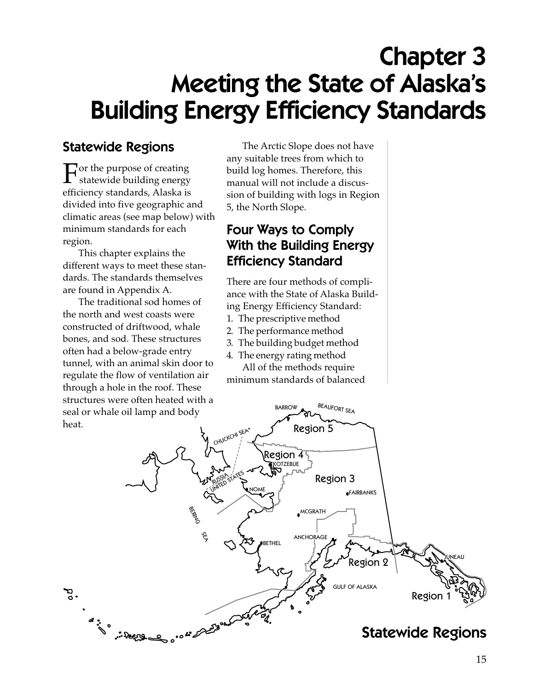# Chapter 3 Meeting the State of Alaska's Building Energy Efficiency Standards

#### Statewide Regions

 $\Gamma$  or the purpose of creating<br>statewide building energy efficiency standards, Alaska is divided into five geographic and climatic areas (see map below) with minimum standards for each region.

This chapter explains the different ways to meet these standards. The standards themselves are found in Appendix A.

The traditional sod homes of the north and west coasts were constructed of driftwood, whale bones, and sod. These structures often had a below-grade entry tunnel, with an animal skin door to regulate the flow of ventilation air through a hole in the roof. These structures were often heated with a seal or whale oil lamp and body heat.

The Arctic Slope does not have any suitable trees from which to build log homes. Therefore, this manual will not include a discussion of building with logs in Region 5, the North Slope.

#### Four Ways to Comply With the Building Energy Efficiency Standard

There are four methods of compliance with the State of Alaska Building Energy Efficiency Standard:

- **1. The prescriptive method**
- **2. The performance method**
- **3. The building budget method**
- **4. The energy rating method**

All of the methods require minimum standards of balanced

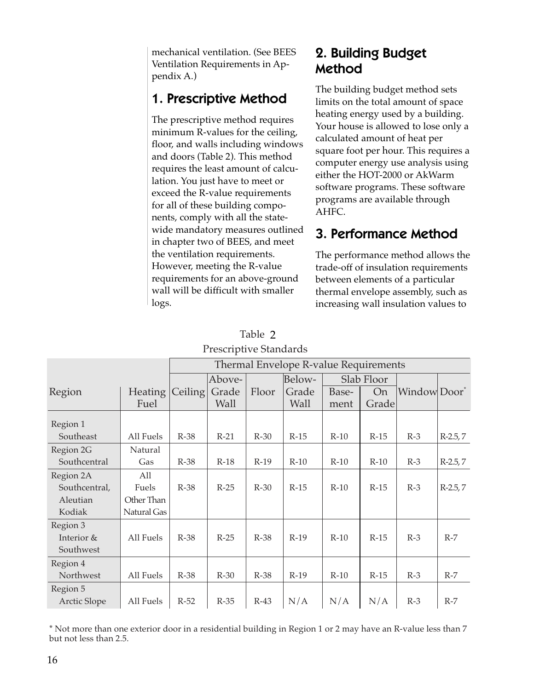mechanical ventilation. (See BEES Ventilation Requirements in Appendix A.)

### 1. Prescriptive Method

The prescriptive method requires minimum R-values for the ceiling, floor, and walls including windows and doors (Table 2). This method requires the least amount of calculation. You just have to meet or exceed the R-value requirements for all of these building components, comply with all the statewide mandatory measures outlined in chapter two of BEES, and meet the ventilation requirements. However, meeting the R-value requirements for an above-ground wall will be difficult with smaller logs.

### 2. Building Budget Method

The building budget method sets limits on the total amount of space heating energy used by a building. Your house is allowed to lose only a calculated amount of heat per square foot per hour. This requires a computer energy use analysis using either the HOT-2000 or AkWarm software programs. These software programs are available through AHFC.

# 3. Performance Method

The performance method allows the trade-off of insulation requirements between elements of a particular thermal envelope assembly, such as increasing wall insulation values to

|               |                | Thermal Envelope R-value Requirements |             |        |             |        |            |                          |            |
|---------------|----------------|---------------------------------------|-------------|--------|-------------|--------|------------|--------------------------|------------|
|               |                |                                       | Above-      |        | Below-      |        | Slab Floor |                          |            |
| Region        | <b>Heating</b> | Ceiling                               | Grade       | Floor  | Grade       | Base-  | <b>On</b>  | Window Door <sup>*</sup> |            |
|               | Fuel           |                                       | <b>Wall</b> |        | <b>Wall</b> | ment   | Grade      |                          |            |
| Region 1      |                |                                       |             |        |             |        |            |                          |            |
| Southeast     | All Fuels      | $R-38$                                | $R-21$      | $R-30$ | $R-15$      | $R-10$ | $R-15$     | $R-3$                    | $R-2.5, 7$ |
| Region 2G     | Natural        |                                       |             |        |             |        |            |                          |            |
| Southcentral  | Gas            | $R-38$                                | $R-18$      | $R-19$ | $R-10$      | $R-10$ | $R-10$     | $R-3$                    | $R-2.5, 7$ |
| Region 2A     | All            |                                       |             |        |             |        |            |                          |            |
| Southcentral, | Fuels          | $R-38$                                | $R-25$      | $R-30$ | $R-15$      | $R-10$ | $R-15$     | $R-3$                    | $R-2.5, 7$ |
| Aleutian      | Other Than     |                                       |             |        |             |        |            |                          |            |
| Kodiak        | Natural Gas    |                                       |             |        |             |        |            |                          |            |
| Region 3      |                |                                       |             |        |             |        |            |                          |            |
| Interior &    | All Fuels      | $R-38$                                | $R-25$      | $R-38$ | $R-19$      | $R-10$ | $R-15$     | $R-3$                    | $R-7$      |
| Southwest     |                |                                       |             |        |             |        |            |                          |            |
| Region 4      |                |                                       |             |        |             |        |            |                          |            |
| Northwest     | All Fuels      | $R-38$                                | $R-30$      | R-38   | $R-19$      | $R-10$ | $R-15$     | $R-3$                    | $R-7$      |
| Region 5      |                |                                       |             |        |             |        |            |                          |            |
| Arctic Slope  | All Fuels      | $R-52$                                | $R-35$      | $R-43$ | N/A         | N/A    | N/A        | $R-3$                    | $R-7$      |

**Table 1 2Prescriptive Standards**

\* Not more than one exterior door in a residential building in Region 1 or 2 may have an R-value less than 7 but not less than 2.5.